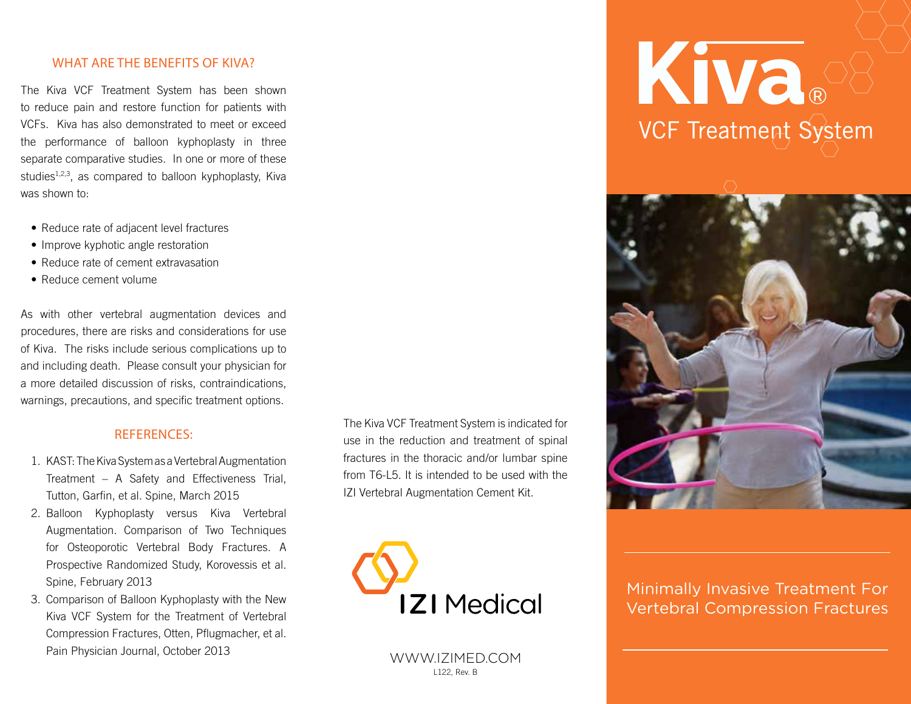### WHAT ARE THE BENEFITS OF KIVA?

The Kiva VCF Treatment System has been shown to reduce pain and restore function for patients with VCFs. Kiva has also demonstrated to meet or exceed the performance of balloon kyphoplasty in three separate comparative studies. In one or more of these studies $1,2,3$ , as compared to balloon kyphoplasty, Kiva was shown to:

- Reduce rate of adjacent level fractures
- Improve kyphotic angle restoration
- Reduce rate of cement extravasation
- Reduce cement volume

As with other vertebral augmentation devices and procedures, there are risks and considerations for use of Kiva. The risks include serious complications up to and including death. Please consult your physician for a more detailed discussion of risks, contraindications, warnings, precautions, and specific treatment options.

#### REFERENCES:

- 1. KAST: The Kiva System as a Vertebral Augmentation Treatment – A Safety and Effectiveness Trial, Tutton, Garfin, et al. Spine, March 2015
- 2. Balloon Kyphoplasty versus Kiva Vertebral Augmentation. Comparison of Two Techniques for Osteoporotic Vertebral Body Fractures. A Prospective Randomized Study, Korovessis et al. Spine, February 2013
- 3. Comparison of Balloon Kyphoplasty with the New Kiva VCF System for the Treatment of Vertebral Compression Fractures, Otten, Pflugmacher, et al. Pain Physician Journal, October 2013

The Kiva VCF Treatment System is indicated for use in the reduction and treatment of spinal fractures in the thoracic and/or lumbar spine from T6-L5. It is intended to be used with the IZI Vertebral Augmentation Cement Kit.



WWW.IZIMED.COM L122, Rev. B

# Kiva® **VCF Treatment System**



Minimally Invasive Treatment For Vertebral Compression Fractures